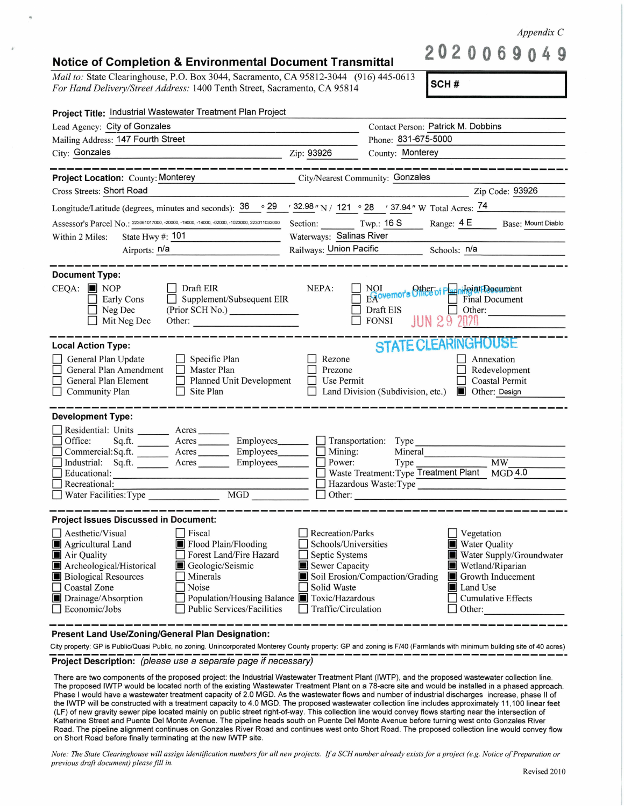*Appendix C* 

## **Notice of Completion** & **Environmental Document Transmittal**

*Mail to: State Clearinghouse, P.O. Box 3044, Sacramento, CA 95812-3044 (916) 445-0613 For Hand Delivery/Street Address:* 1400 Tenth Street, Sacramento, CA 95814

**SCH#** 

**2020069049** 

| Project Title: Industrial Wastewater Treatment Plan Project                                                                                                                                                                                                                                                                                                                    |                                                                                                                    |                                                                                                                                                                                                      |  |  |  |
|--------------------------------------------------------------------------------------------------------------------------------------------------------------------------------------------------------------------------------------------------------------------------------------------------------------------------------------------------------------------------------|--------------------------------------------------------------------------------------------------------------------|------------------------------------------------------------------------------------------------------------------------------------------------------------------------------------------------------|--|--|--|
| Lead Agency: City of Gonzales                                                                                                                                                                                                                                                                                                                                                  |                                                                                                                    | Contact Person: Patrick M. Dobbins                                                                                                                                                                   |  |  |  |
| Mailing Address: 147 Fourth Street                                                                                                                                                                                                                                                                                                                                             |                                                                                                                    | Phone: 831-675-5000                                                                                                                                                                                  |  |  |  |
| City: Gonzales                                                                                                                                                                                                                                                                                                                                                                 | Zip: 93926                                                                                                         | County: Monterey                                                                                                                                                                                     |  |  |  |
|                                                                                                                                                                                                                                                                                                                                                                                |                                                                                                                    |                                                                                                                                                                                                      |  |  |  |
| City/Nearest Community: Gonzales<br><b>Project Location: County: Monterey</b>                                                                                                                                                                                                                                                                                                  |                                                                                                                    |                                                                                                                                                                                                      |  |  |  |
| Cross Streets: Short Road                                                                                                                                                                                                                                                                                                                                                      |                                                                                                                    | Zip Code: 93926                                                                                                                                                                                      |  |  |  |
| Longitude/Latitude (degrees, minutes and seconds): $\frac{36}{29}$ $\frac{29}{28}$ $\frac{32.98}{2}$ N / 121 $\degree$ 28 $\degree$ 37.94 " W Total Acres: $\frac{74}{2}$                                                                                                                                                                                                      |                                                                                                                    |                                                                                                                                                                                                      |  |  |  |
| Assessor's Parcel No.: 223061017000, -20000, -19000, -14000, -02000, -1023000, 223011032000                                                                                                                                                                                                                                                                                    | Section: Twp.: 16 S<br>Range: 4 E Base: Mount Diablo<br>$\mathcal{L}$                                              |                                                                                                                                                                                                      |  |  |  |
| State Hwy #: 101<br>Within 2 Miles:                                                                                                                                                                                                                                                                                                                                            | Waterways: Salinas River                                                                                           |                                                                                                                                                                                                      |  |  |  |
| Airports: n/a                                                                                                                                                                                                                                                                                                                                                                  | Railways: Union Pacific Schools: n/a                                                                               |                                                                                                                                                                                                      |  |  |  |
| <b>Document Type:</b><br>$CEQA:$ NOP<br>Draft EIR<br>NEPA:<br>NOI<br>Expovemor's Office of Parini Point Document<br>Final Document<br>Supplement/Subsequent EIR<br>Early Cons<br>Neg Dec<br>Draft EIS<br>Other:<br><b>JUN 29</b><br><b>FONSI</b><br>Mit Neg Dec<br>Other: $\qquad \qquad$                                                                                      |                                                                                                                    |                                                                                                                                                                                                      |  |  |  |
| <b>Local Action Type:</b><br>$\Box$ Specific Plan<br>General Plan Update<br>General Plan Amendment<br>Master Plan<br>General Plan Element<br>Planned Unit Development<br>$\Box$ Site Plan<br>$\Box$ Community Plan                                                                                                                                                             | Rezone<br>Prezone<br>Use Permit                                                                                    | <b>STATE CLEARINGHOUSE</b><br>Annexation<br>Redevelopment<br>Coastal Permit<br>Land Division (Subdivision, etc.)<br>Other: Design                                                                    |  |  |  |
| <b>Development Type:</b>                                                                                                                                                                                                                                                                                                                                                       |                                                                                                                    |                                                                                                                                                                                                      |  |  |  |
| Residential: Units ________ Acres _______<br>Sq.ft. __________ Acres ___________ Employees________<br>Office:<br>Commercial:Sq.ft. _______ Acres _______ Employees_______<br>Industrial: Sq.ft. Acres Employees<br>Educational:<br>Recreational:<br>MGD<br>Water Facilities: Type                                                                                              | $\Box$ Mining:<br>$\Box$ Power:<br>Other:                                                                          | Transportation: Type<br>Mineral<br>Type<br><b>MW</b><br>Waste Treatment: Type Treatment Plant MGD 4.0<br>Hazardous Waste: Type                                                                       |  |  |  |
| <b>Project Issues Discussed in Document:</b>                                                                                                                                                                                                                                                                                                                                   |                                                                                                                    |                                                                                                                                                                                                      |  |  |  |
| Aesthetic/Visual<br>$\Box$ Fiscal<br>Agricultural Land<br>Flood Plain/Flooding<br>Forest Land/Fire Hazard<br>Air Quality<br>Archeological/Historical<br>Geologic/Seismic<br>$\Box$ Minerals<br><b>Biological Resources</b><br>Coastal Zone<br>Noise<br>Drainage/Absorption<br>Population/Housing Balance Toxic/Hazardous<br><b>Public Services/Facilities</b><br>Economic/Jobs | Recreation/Parks<br>Schools/Universities<br>Septic Systems<br>Sewer Capacity<br>Solid Waste<br>Traffic/Circulation | Vegetation<br><b>Water Quality</b><br>Water Supply/Groundwater<br>Wetland/Riparian<br>Soil Erosion/Compaction/Grading<br>Growth Inducement<br>Land Use<br><b>Cumulative Effects</b><br>$\Box$ Other: |  |  |  |

**Present Land Use/Zoning/General Plan Designation:** 

City property: GP is Public/Quasi Public, no zoning. Unincorporated Monterey County property: GP and zoning is F/40 (Farmlands with minimum building site of 40 acres) -------------------------------------------------------------- **Project Description:** (please use a separate page if necessary)

There are two components of the proposed project: the Industrial Wastewater Treatment Plant (IWTP), and the proposed wastewater collection line. The proposed IWTP would be located north of the existing Wastewater Treatment Plant on a 78-acre site and would be installed in a phased approach. Phase I would have a wastewater treatment capacity of 2.0 MGD. As the wastewater flows and number of industrial discharges increase, phase II of the IWTP will be constructed with a treatment capacity to 4.0 MGD. The proposed wastewater collection line includes approximately 11 ,100 linear feet (LF) of new gravity sewer pipe located mainly on public street right-of-way. This collection line would convey flows starting near the intersection of Katherine Street and Puente Del Monte Avenue. The pipeline heads south on Puente Del Monte Avenue before turning west onto Gonzales River Road. The pipeline alignment continues on Gonzales River Road and continues west onto Short Road . The proposed collection line would convey flow on Short Road before finally terminating at the new IWTP site.

*Note: The State Clearinghouse will assign identification numbers for all new projects. If a SCH number already exists for a project (e.g. Notice of Preparation or previous draft document) please fill in.*